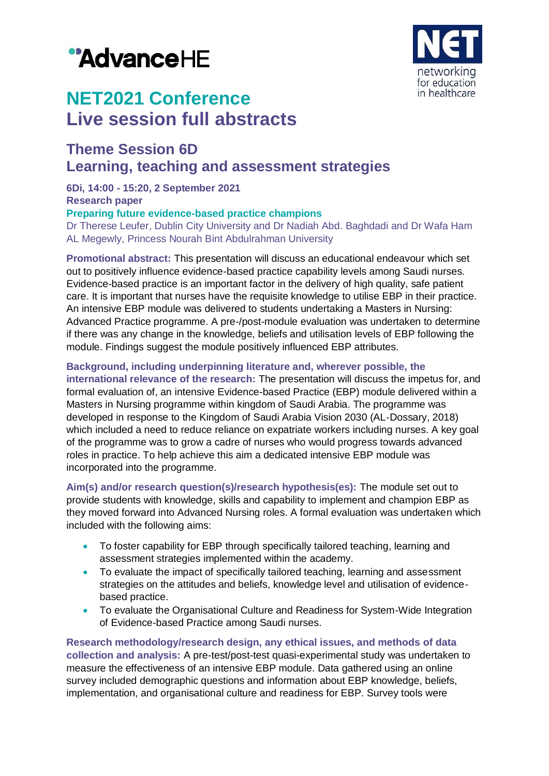# "AdvanceHE



## **NET2021 Conference Live session full abstracts**

### **Theme Session 6D Learning, teaching and assessment strategies**

**6Di, 14:00 - 15:20, 2 September 2021**

#### **Research paper**

#### **Preparing future evidence-based practice champions**

Dr Therese Leufer, Dublin City University and Dr Nadiah Abd. Baghdadi and Dr Wafa Ham AL Megewly, Princess Nourah Bint Abdulrahman University

**Promotional abstract:** This presentation will discuss an educational endeavour which set out to positively influence evidence-based practice capability levels among Saudi nurses. Evidence-based practice is an important factor in the delivery of high quality, safe patient care. It is important that nurses have the requisite knowledge to utilise EBP in their practice. An intensive EBP module was delivered to students undertaking a Masters in Nursing: Advanced Practice programme. A pre-/post-module evaluation was undertaken to determine if there was any change in the knowledge, beliefs and utilisation levels of EBP following the module. Findings suggest the module positively influenced EBP attributes.

#### **Background, including underpinning literature and, wherever possible, the**

**international relevance of the research:** The presentation will discuss the impetus for, and formal evaluation of, an intensive Evidence-based Practice (EBP) module delivered within a Masters in Nursing programme within kingdom of Saudi Arabia. The programme was developed in response to the Kingdom of Saudi Arabia Vision 2030 (AL‐Dossary, 2018) which included a need to reduce reliance on expatriate workers including nurses. A key goal of the programme was to grow a cadre of nurses who would progress towards advanced roles in practice. To help achieve this aim a dedicated intensive EBP module was incorporated into the programme.

**Aim(s) and/or research question(s)/research hypothesis(es):** The module set out to provide students with knowledge, skills and capability to implement and champion EBP as they moved forward into Advanced Nursing roles. A formal evaluation was undertaken which included with the following aims:

- To foster capability for EBP through specifically tailored teaching, learning and assessment strategies implemented within the academy.
- To evaluate the impact of specifically tailored teaching, learning and assessment strategies on the attitudes and beliefs, knowledge level and utilisation of evidencebased practice.
- To evaluate the Organisational Culture and Readiness for System-Wide Integration of Evidence-based Practice among Saudi nurses.

**Research methodology/research design, any ethical issues, and methods of data collection and analysis:** A pre-test/post-test quasi-experimental study was undertaken to measure the effectiveness of an intensive EBP module. Data gathered using an online survey included demographic questions and information about EBP knowledge, beliefs, implementation, and organisational culture and readiness for EBP. Survey tools were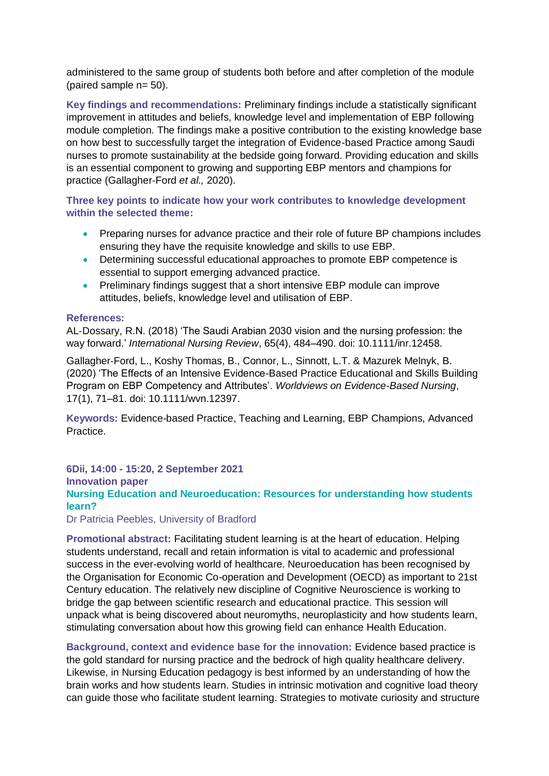administered to the same group of students both before and after completion of the module (paired sample n= 50).

**Key findings and recommendations:** Preliminary findings include a statistically significant improvement in attitudes and beliefs, knowledge level and implementation of EBP following module completion. The findings make a positive contribution to the existing knowledge base on how best to successfully target the integration of Evidence-based Practice among Saudi nurses to promote sustainability at the bedside going forward. Providing education and skills is an essential component to growing and supporting EBP mentors and champions for practice (Gallagher‐Ford *et al.,* 2020).

**Three key points to indicate how your work contributes to knowledge development within the selected theme:**

- **•** Preparing nurses for advance practice and their role of future BP champions includes ensuring they have the requisite knowledge and skills to use EBP.
- Determining successful educational approaches to promote EBP competence is essential to support emerging advanced practice.
- Preliminary findings suggest that a short intensive EBP module can improve attitudes, beliefs, knowledge level and utilisation of EBP.

#### **References:**

AL‐Dossary, R.N. (2018) 'The Saudi Arabian 2030 vision and the nursing profession: the way forward.' *International Nursing Review*, 65(4), 484–490. doi: 10.1111/inr.12458.

Gallagher‐Ford, L., Koshy Thomas, B., Connor, L., Sinnott, L.T. & Mazurek Melnyk, B. (2020) 'The Effects of an Intensive Evidence-Based Practice Educational and Skills Building Program on EBP Competency and Attributes'. *Worldviews on Evidence-Based Nursing*, 17(1), 71–81. doi: 10.1111/wvn.12397.

**Keywords:** Evidence-based Practice, Teaching and Learning, EBP Champions, Advanced Practice.

**6Dii, 14:00 - 15:20, 2 September 2021**

**Innovation paper** 

**Nursing Education and Neuroeducation: Resources for understanding how students learn?**

Dr Patricia Peebles, University of Bradford

**Promotional abstract:** Facilitating student learning is at the heart of education. Helping students understand, recall and retain information is vital to academic and professional success in the ever-evolving world of healthcare. Neuroeducation has been recognised by the Organisation for Economic Co-operation and Development (OECD) as important to 21st Century education. The relatively new discipline of Cognitive Neuroscience is working to bridge the gap between scientific research and educational practice. This session will unpack what is being discovered about neuromyths, neuroplasticity and how students learn, stimulating conversation about how this growing field can enhance Health Education.

**Background, context and evidence base for the innovation:** Evidence based practice is the gold standard for nursing practice and the bedrock of high quality healthcare delivery. Likewise, in Nursing Education pedagogy is best informed by an understanding of how the brain works and how students learn. Studies in intrinsic motivation and cognitive load theory can guide those who facilitate student learning. Strategies to motivate curiosity and structure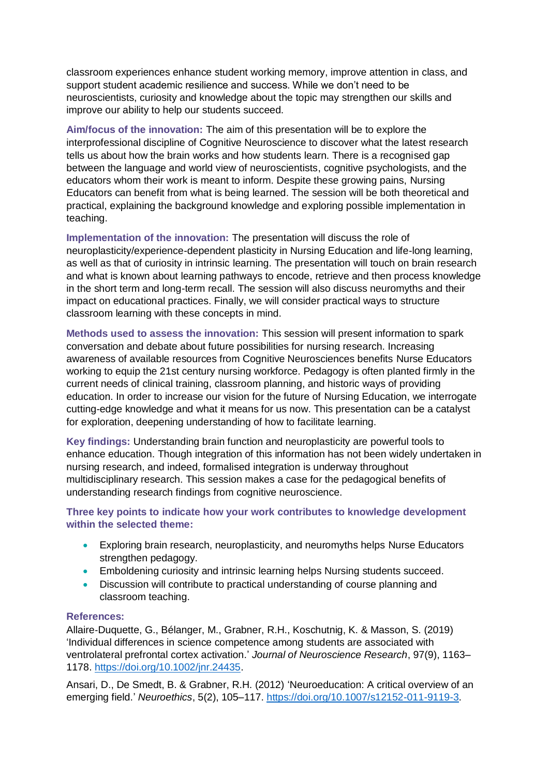classroom experiences enhance student working memory, improve attention in class, and support student academic resilience and success. While we don't need to be neuroscientists, curiosity and knowledge about the topic may strengthen our skills and improve our ability to help our students succeed.

**Aim/focus of the innovation:** The aim of this presentation will be to explore the interprofessional discipline of Cognitive Neuroscience to discover what the latest research tells us about how the brain works and how students learn. There is a recognised gap between the language and world view of neuroscientists, cognitive psychologists, and the educators whom their work is meant to inform. Despite these growing pains, Nursing Educators can benefit from what is being learned. The session will be both theoretical and practical, explaining the background knowledge and exploring possible implementation in teaching.

**Implementation of the innovation:** The presentation will discuss the role of neuroplasticity/experience-dependent plasticity in Nursing Education and life-long learning, as well as that of curiosity in intrinsic learning. The presentation will touch on brain research and what is known about learning pathways to encode, retrieve and then process knowledge in the short term and long-term recall. The session will also discuss neuromyths and their impact on educational practices. Finally, we will consider practical ways to structure classroom learning with these concepts in mind.

**Methods used to assess the innovation:** This session will present information to spark conversation and debate about future possibilities for nursing research. Increasing awareness of available resources from Cognitive Neurosciences benefits Nurse Educators working to equip the 21st century nursing workforce. Pedagogy is often planted firmly in the current needs of clinical training, classroom planning, and historic ways of providing education. In order to increase our vision for the future of Nursing Education, we interrogate cutting-edge knowledge and what it means for us now. This presentation can be a catalyst for exploration, deepening understanding of how to facilitate learning.

**Key findings:** Understanding brain function and neuroplasticity are powerful tools to enhance education. Though integration of this information has not been widely undertaken in nursing research, and indeed, formalised integration is underway throughout multidisciplinary research. This session makes a case for the pedagogical benefits of understanding research findings from cognitive neuroscience.

**Three key points to indicate how your work contributes to knowledge development within the selected theme:**

- Exploring brain research, neuroplasticity, and neuromyths helps Nurse Educators strengthen pedagogy.
- Emboldening curiosity and intrinsic learning helps Nursing students succeed.
- Discussion will contribute to practical understanding of course planning and classroom teaching.

#### **References:**

Allaire‐Duquette, G., Bélanger, M., Grabner, R.H., Koschutnig, K. & Masson, S. (2019) 'Individual differences in science competence among students are associated with ventrolateral prefrontal cortex activation.' *Journal of Neuroscience Research*, 97(9), 1163– 1178. [https://doi.org/10.1002/jnr.24435.](https://doi.org/10.1002/jnr.24435)

Ansari, D., De Smedt, B. & Grabner, R.H. (2012) 'Neuroeducation: A critical overview of an emerging field.' *Neuroethics*, 5(2), 105–117. [https://doi.org/10.1007/s12152-011-9119-3.](https://doi.org/10.1007/s12152-011-9119-3)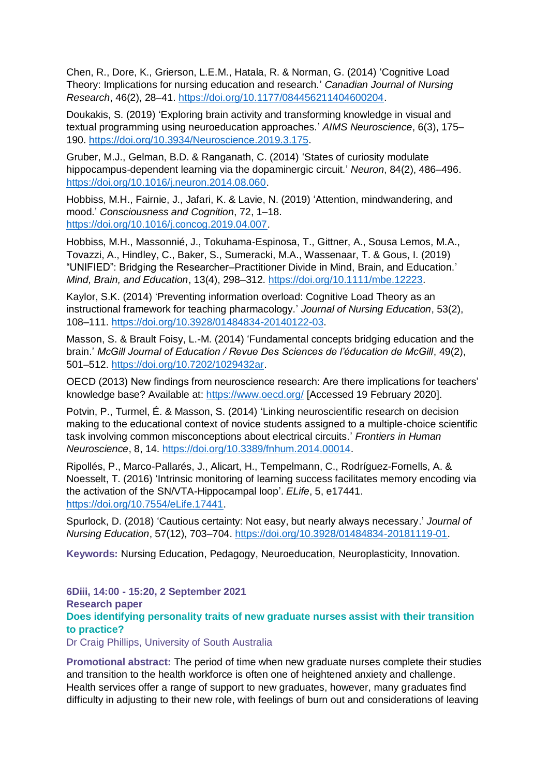Chen, R., Dore, K., Grierson, L.E.M., Hatala, R. & Norman, G. (2014) 'Cognitive Load Theory: Implications for nursing education and research.' *Canadian Journal of Nursing Research*, 46(2), 28–41. [https://doi.org/10.1177/084456211404600204.](https://doi.org/10.1177/084456211404600204)

Doukakis, S. (2019) 'Exploring brain activity and transforming knowledge in visual and textual programming using neuroeducation approaches.' *AIMS Neuroscience*, 6(3), 175– 190. [https://doi.org/10.3934/Neuroscience.2019.3.175.](https://doi.org/10.3934/Neuroscience.2019.3.175)

Gruber, M.J., Gelman, B.D. & Ranganath, C. (2014) 'States of curiosity modulate hippocampus-dependent learning via the dopaminergic circuit.' *Neuron*, 84(2), 486–496. [https://doi.org/10.1016/j.neuron.2014.08.060.](https://doi.org/10.1016/j.neuron.2014.08.060)

Hobbiss, M.H., Fairnie, J., Jafari, K. & Lavie, N. (2019) 'Attention, mindwandering, and mood.' *Consciousness and Cognition*, 72, 1–18. [https://doi.org/10.1016/j.concog.2019.04.007.](https://doi.org/10.1016/j.concog.2019.04.007)

Hobbiss, M.H., Massonnié, J., Tokuhama‐Espinosa, T., Gittner, A., Sousa Lemos, M.A., Tovazzi, A., Hindley, C., Baker, S., Sumeracki, M.A., Wassenaar, T. & Gous, I. (2019) "UNIFIED": Bridging the Researcher–Practitioner Divide in Mind, Brain, and Education.' *Mind, Brain, and Education*, 13(4), 298–312. [https://doi.org/10.1111/mbe.12223.](https://doi.org/10.1111/mbe.12223)

Kaylor, S.K. (2014) 'Preventing information overload: Cognitive Load Theory as an instructional framework for teaching pharmacology.' *Journal of Nursing Education*, 53(2), 108–111. [https://doi.org/10.3928/01484834-20140122-03.](https://doi.org/10.3928/01484834-20140122-03)

Masson, S. & Brault Foisy, L.-M. (2014) 'Fundamental concepts bridging education and the brain.' *McGill Journal of Education / Revue Des Sciences de l'éducation de McGill*, 49(2), 501–512. [https://doi.org/10.7202/1029432ar.](https://doi.org/10.7202/1029432ar)

OECD (2013) New findings from neuroscience research: Are there implications for teachers' knowledge base? Available at: <https://www.oecd.org/> [Accessed 19 February 2020].

Potvin, P., Turmel, É. & Masson, S. (2014) 'Linking neuroscientific research on decision making to the educational context of novice students assigned to a multiple-choice scientific task involving common misconceptions about electrical circuits.' *Frontiers in Human Neuroscience*, 8, 14. [https://doi.org/10.3389/fnhum.2014.00014.](https://doi.org/10.3389/fnhum.2014.00014)

Ripollés, P., Marco-Pallarés, J., Alicart, H., Tempelmann, C., Rodríguez-Fornells, A. & Noesselt, T. (2016) 'Intrinsic monitoring of learning success facilitates memory encoding via the activation of the SN/VTA-Hippocampal loop'. *ELife*, 5, e17441. [https://doi.org/10.7554/eLife.17441.](https://doi.org/10.7554/eLife.17441)

Spurlock, D. (2018) 'Cautious certainty: Not easy, but nearly always necessary.' *Journal of Nursing Education*, 57(12), 703–704. [https://doi.org/10.3928/01484834-20181119-01.](https://doi.org/10.3928/01484834-20181119-01)

**Keywords:** Nursing Education, Pedagogy, Neuroeducation, Neuroplasticity, Innovation.

**6Diii, 14:00 - 15:20, 2 September 2021 Research paper Does identifying personality traits of new graduate nurses assist with their transition to practice?**

Dr Craig Phillips, University of South Australia

**Promotional abstract:** The period of time when new graduate nurses complete their studies and transition to the health workforce is often one of heightened anxiety and challenge. Health services offer a range of support to new graduates, however, many graduates find difficulty in adjusting to their new role, with feelings of burn out and considerations of leaving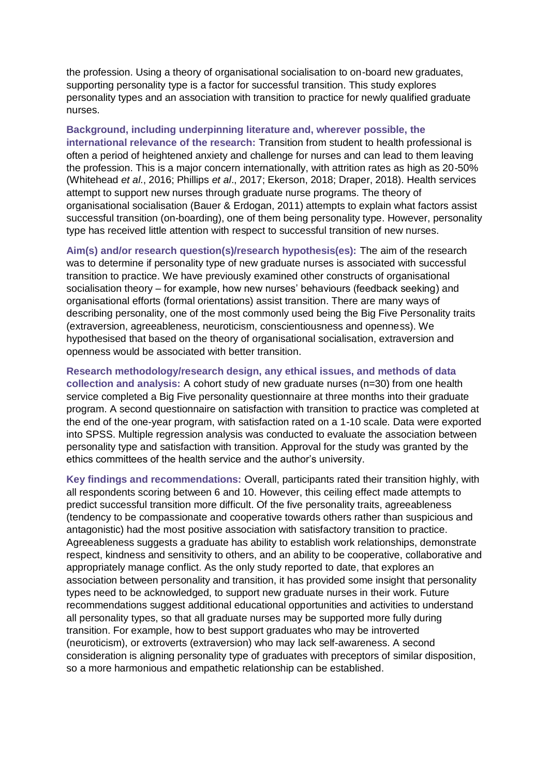the profession. Using a theory of organisational socialisation to on-board new graduates, supporting personality type is a factor for successful transition. This study explores personality types and an association with transition to practice for newly qualified graduate nurses.

**Background, including underpinning literature and, wherever possible, the international relevance of the research:** Transition from student to health professional is often a period of heightened anxiety and challenge for nurses and can lead to them leaving the profession. This is a major concern internationally, with attrition rates as high as 20-50% (Whitehead *et al*., 2016; Phillips *et al*., 2017; Ekerson, 2018; Draper, 2018). Health services attempt to support new nurses through graduate nurse programs. The theory of organisational socialisation (Bauer & Erdogan, 2011) attempts to explain what factors assist successful transition (on-boarding), one of them being personality type. However, personality type has received little attention with respect to successful transition of new nurses.

**Aim(s) and/or research question(s)/research hypothesis(es):** The aim of the research was to determine if personality type of new graduate nurses is associated with successful transition to practice. We have previously examined other constructs of organisational socialisation theory – for example, how new nurses' behaviours (feedback seeking) and organisational efforts (formal orientations) assist transition. There are many ways of describing personality, one of the most commonly used being the Big Five Personality traits (extraversion, agreeableness, neuroticism, conscientiousness and openness). We hypothesised that based on the theory of organisational socialisation, extraversion and openness would be associated with better transition.

**Research methodology/research design, any ethical issues, and methods of data collection and analysis:** A cohort study of new graduate nurses (n=30) from one health service completed a Big Five personality questionnaire at three months into their graduate program. A second questionnaire on satisfaction with transition to practice was completed at the end of the one-year program, with satisfaction rated on a 1-10 scale. Data were exported into SPSS. Multiple regression analysis was conducted to evaluate the association between personality type and satisfaction with transition. Approval for the study was granted by the ethics committees of the health service and the author's university.

**Key findings and recommendations:** Overall, participants rated their transition highly, with all respondents scoring between 6 and 10. However, this ceiling effect made attempts to predict successful transition more difficult. Of the five personality traits, agreeableness (tendency to be compassionate and cooperative towards others rather than suspicious and antagonistic) had the most positive association with satisfactory transition to practice. Agreeableness suggests a graduate has ability to establish work relationships, demonstrate respect, kindness and sensitivity to others, and an ability to be cooperative, collaborative and appropriately manage conflict. As the only study reported to date, that explores an association between personality and transition, it has provided some insight that personality types need to be acknowledged, to support new graduate nurses in their work. Future recommendations suggest additional educational opportunities and activities to understand all personality types, so that all graduate nurses may be supported more fully during transition. For example, how to best support graduates who may be introverted (neuroticism), or extroverts (extraversion) who may lack self-awareness. A second consideration is aligning personality type of graduates with preceptors of similar disposition, so a more harmonious and empathetic relationship can be established.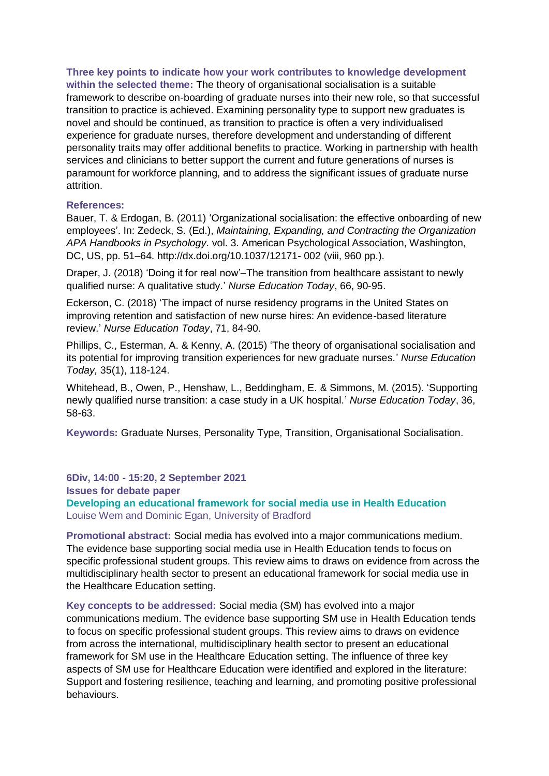**Three key points to indicate how your work contributes to knowledge development within the selected theme:** The theory of organisational socialisation is a suitable framework to describe on-boarding of graduate nurses into their new role, so that successful transition to practice is achieved. Examining personality type to support new graduates is novel and should be continued, as transition to practice is often a very individualised experience for graduate nurses, therefore development and understanding of different personality traits may offer additional benefits to practice. Working in partnership with health services and clinicians to better support the current and future generations of nurses is paramount for workforce planning, and to address the significant issues of graduate nurse attrition.

#### **References:**

Bauer, T. & Erdogan, B. (2011) 'Organizational socialisation: the effective onboarding of new employees'. In: Zedeck, S. (Ed.), *Maintaining, Expanding, and Contracting the Organization APA Handbooks in Psychology*. vol. 3. American Psychological Association, Washington, DC, US, pp. 51–64. http://dx.doi.org/10.1037/12171- 002 (viii, 960 pp.).

Draper, J. (2018) 'Doing it for real now'–The transition from healthcare assistant to newly qualified nurse: A qualitative study.' *Nurse Education Today*, 66, 90‐95.

Eckerson, C. (2018) 'The impact of nurse residency programs in the United States on improving retention and satisfaction of new nurse hires: An evidence-based literature review.' *Nurse Education Today*, 71, 84-90.

Phillips, C., Esterman, A. & Kenny, A. (2015) 'The theory of organisational socialisation and its potential for improving transition experiences for new graduate nurses.' *Nurse Education Today,* 35(1), 118-124.

Whitehead, B., Owen, P., Henshaw, L., Beddingham, E. & Simmons, M. (2015). 'Supporting newly qualified nurse transition: a case study in a UK hospital.' *Nurse Education Today*, 36, 58-63.

**Keywords:** Graduate Nurses, Personality Type, Transition, Organisational Socialisation.

**6Div, 14:00 - 15:20, 2 September 2021 Issues for debate paper Developing an educational framework for social media use in Health Education** Louise Wem and Dominic Egan, University of Bradford

**Promotional abstract:** Social media has evolved into a major communications medium. The evidence base supporting social media use in Health Education tends to focus on specific professional student groups. This review aims to draws on evidence from across the multidisciplinary health sector to present an educational framework for social media use in the Healthcare Education setting.

**Key concepts to be addressed:** Social media (SM) has evolved into a major communications medium. The evidence base supporting SM use in Health Education tends to focus on specific professional student groups. This review aims to draws on evidence from across the international, multidisciplinary health sector to present an educational framework for SM use in the Healthcare Education setting. The influence of three key aspects of SM use for Healthcare Education were identified and explored in the literature: Support and fostering resilience, teaching and learning, and promoting positive professional behaviours.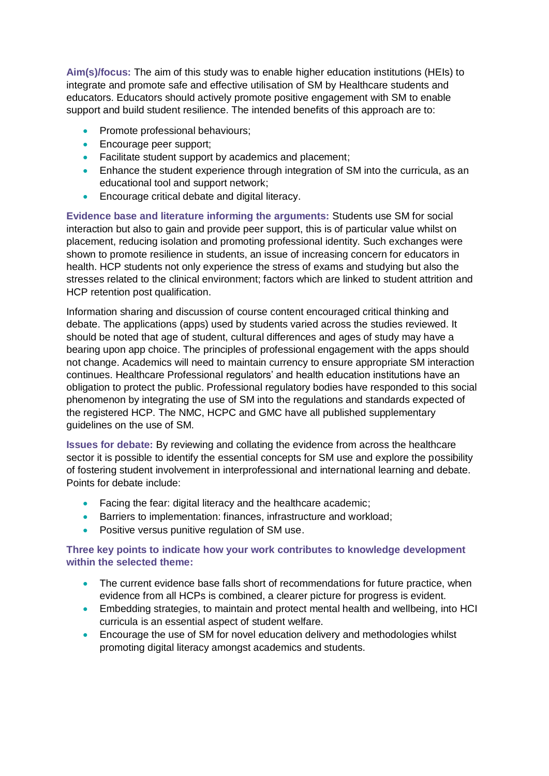**Aim(s)/focus:** The aim of this study was to enable higher education institutions (HEIs) to integrate and promote safe and effective utilisation of SM by Healthcare students and educators. Educators should actively promote positive engagement with SM to enable support and build student resilience. The intended benefits of this approach are to:

- Promote professional behaviours;
- **Encourage peer support;**
- Facilitate student support by academics and placement;
- **Enhance the student experience through integration of SM into the curricula, as an** educational tool and support network;
- **Encourage critical debate and digital literacy.**

**Evidence base and literature informing the arguments:** Students use SM for social interaction but also to gain and provide peer support, this is of particular value whilst on placement, reducing isolation and promoting professional identity. Such exchanges were shown to promote resilience in students, an issue of increasing concern for educators in health. HCP students not only experience the stress of exams and studying but also the stresses related to the clinical environment; factors which are linked to student attrition and HCP retention post qualification.

Information sharing and discussion of course content encouraged critical thinking and debate. The applications (apps) used by students varied across the studies reviewed. It should be noted that age of student, cultural differences and ages of study may have a bearing upon app choice. The principles of professional engagement with the apps should not change. Academics will need to maintain currency to ensure appropriate SM interaction continues. Healthcare Professional regulators' and health education institutions have an obligation to protect the public. Professional regulatory bodies have responded to this social phenomenon by integrating the use of SM into the regulations and standards expected of the registered HCP. The NMC, HCPC and GMC have all published supplementary guidelines on the use of SM.

**Issues for debate:** By reviewing and collating the evidence from across the healthcare sector it is possible to identify the essential concepts for SM use and explore the possibility of fostering student involvement in interprofessional and international learning and debate. Points for debate include:

- Facing the fear: digital literacy and the healthcare academic;
- **Barriers to implementation: finances, infrastructure and workload;**
- Positive versus punitive regulation of SM use.

#### **Three key points to indicate how your work contributes to knowledge development within the selected theme:**

- The current evidence base falls short of recommendations for future practice, when evidence from all HCPs is combined, a clearer picture for progress is evident.
- Embedding strategies, to maintain and protect mental health and wellbeing, into HCI curricula is an essential aspect of student welfare.
- Encourage the use of SM for novel education delivery and methodologies whilst promoting digital literacy amongst academics and students.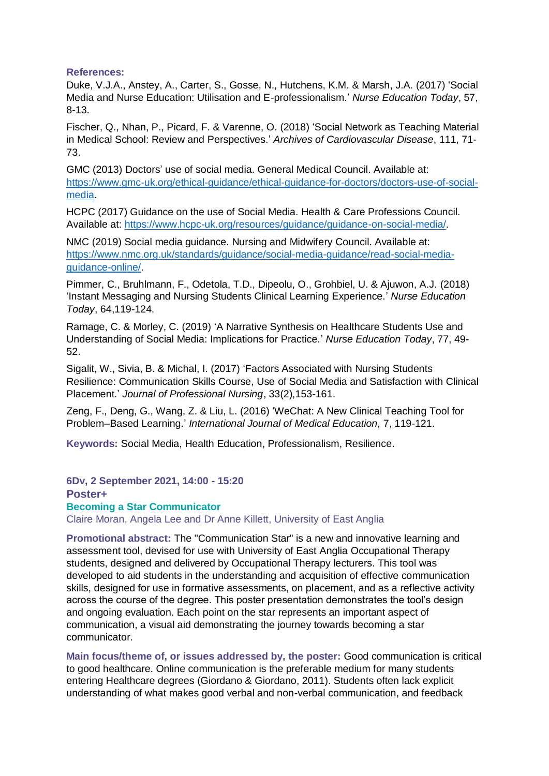#### **References:**

Duke, V.J.A., Anstey, A., Carter, S., Gosse, N., Hutchens, K.M. & Marsh, J.A. (2017) 'Social Media and Nurse Education: Utilisation and E-professionalism.' *Nurse Education Today*, 57, 8-13.

Fischer, Q., Nhan, P., Picard, F. & Varenne, O. (2018) 'Social Network as Teaching Material in Medical School: Review and Perspectives.' *Archives of Cardiovascular Disease*, 111, 71- 73.

GMC (2013) Doctors' use of social media. General Medical Council. Available at: [https://www.gmc-uk.org/ethical-guidance/ethical-guidance-for-doctors/doctors-use-of-social](https://www.gmc-uk.org/ethical-guidance/ethical-guidance-for-doctors/doctors-use-of-social-media)[media.](https://www.gmc-uk.org/ethical-guidance/ethical-guidance-for-doctors/doctors-use-of-social-media)

HCPC (2017) Guidance on the use of Social Media. Health & Care Professions Council. Available at: [https://www.hcpc-uk.org/resources/guidance/guidance-on-social-media/.](https://www.hcpc-uk.org/resources/guidance/guidance-on-social-media/)

NMC (2019) Social media guidance. Nursing and Midwifery Council. Available at: [https://www.nmc.org.uk/standards/guidance/social-media-guidance/read-social-media](https://www.nmc.org.uk/standards/guidance/social-media-guidance/read-social-media-guidance-online/)[guidance-online/.](https://www.nmc.org.uk/standards/guidance/social-media-guidance/read-social-media-guidance-online/)

Pimmer, C., Bruhlmann, F., Odetola, T.D., Dipeolu, O., Grohbiel, U. & Ajuwon, A.J. (2018) 'Instant Messaging and Nursing Students Clinical Learning Experience.' *Nurse Education Today*, 64,119-124.

Ramage, C. & Morley, C. (2019) 'A Narrative Synthesis on Healthcare Students Use and Understanding of Social Media: Implications for Practice.' *Nurse Education Today*, 77, 49- 52.

Sigalit, W., Sivia, B. & Michal, I. (2017) 'Factors Associated with Nursing Students Resilience: Communication Skills Course, Use of Social Media and Satisfaction with Clinical Placement.' *Journal of Professional Nursing*, 33(2),153-161.

Zeng, F., Deng, G., Wang, Z. & Liu, L. (2016) 'WeChat: A New Clinical Teaching Tool for Problem–Based Learning.' *International Journal of Medical Education,* 7, 119-121.

**Keywords:** Social Media, Health Education, Professionalism, Resilience.

**6Dv, 2 September 2021, 14:00 - 15:20**

**Poster+**

#### **Becoming a Star Communicator**

Claire Moran, Angela Lee and Dr Anne Killett, University of East Anglia

**Promotional abstract:** The "Communication Star" is a new and innovative learning and assessment tool, devised for use with University of East Anglia Occupational Therapy students, designed and delivered by Occupational Therapy lecturers. This tool was developed to aid students in the understanding and acquisition of effective communication skills, designed for use in formative assessments, on placement, and as a reflective activity across the course of the degree. This poster presentation demonstrates the tool's design and ongoing evaluation. Each point on the star represents an important aspect of communication, a visual aid demonstrating the journey towards becoming a star communicator.

**Main focus/theme of, or issues addressed by, the poster:** Good communication is critical to good healthcare. Online communication is the preferable medium for many students entering Healthcare degrees (Giordano & Giordano, 2011). Students often lack explicit understanding of what makes good verbal and non-verbal communication, and feedback